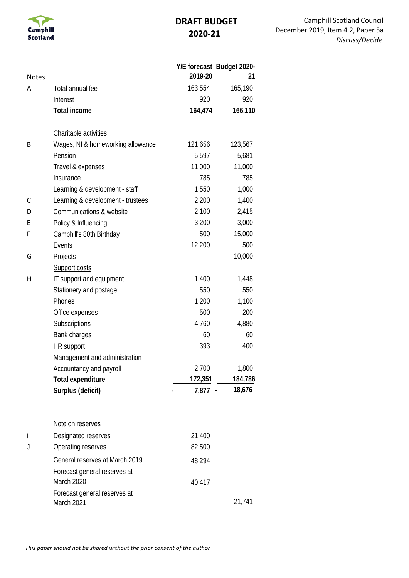

## **DRAFT BUDGET 2020-21**

| <b>Notes</b> |                                   | 2019-20   | Y/E forecast Budget 2020-<br>21 |
|--------------|-----------------------------------|-----------|---------------------------------|
| A            | Total annual fee                  | 163,554   | 165,190                         |
|              | Interest                          | 920       | 920                             |
|              | <b>Total income</b>               | 164,474   | 166,110                         |
|              | Charitable activities             |           |                                 |
| B            | Wages, NI & homeworking allowance | 121,656   | 123,567                         |
|              | Pension                           | 5,597     | 5,681                           |
|              | Travel & expenses                 | 11,000    | 11,000                          |
|              | Insurance                         | 785       | 785                             |
|              | Learning & development - staff    | 1,550     | 1,000                           |
| C            | Learning & development - trustees | 2,200     | 1,400                           |
| D            | Communications & website          | 2,100     | 2,415                           |
| Ε            | Policy & Influencing              | 3,200     | 3,000                           |
| F            | Camphill's 80th Birthday          | 500       | 15,000                          |
|              | Events                            | 12,200    | 500                             |
| G            | Projects                          |           | 10,000                          |
|              | Support costs                     |           |                                 |
| Η            | IT support and equipment          | 1,400     | 1,448                           |
|              | Stationery and postage            | 550       | 550                             |
|              | Phones                            | 1,200     | 1,100                           |
|              | Office expenses                   | 500       | 200                             |
|              | Subscriptions                     | 4,760     | 4,880                           |
|              | Bank charges                      | 60        | 60                              |
|              | HR support                        | 393       | 400                             |
|              | Management and administration     |           |                                 |
|              | Accountancy and payroll           | 2,700     | 1,800                           |
|              | <b>Total expenditure</b>          | 172,351   | 184,786                         |
|              | Surplus (deficit)                 | $7,877 -$ | 18,676                          |
|              | Note on reserves                  |           |                                 |
| $\mathsf{l}$ | Designated reserves               | 21,400    |                                 |
| J            | Operating reserves                | 82,500    |                                 |
|              | General reserves at March 2019    | 48,294    |                                 |
|              | Forecast general reserves at      |           |                                 |
|              | March 2020                        | 40,417    |                                 |
|              | Forecast general reserves at      |           |                                 |
|              | March 2021                        |           | 21,741                          |